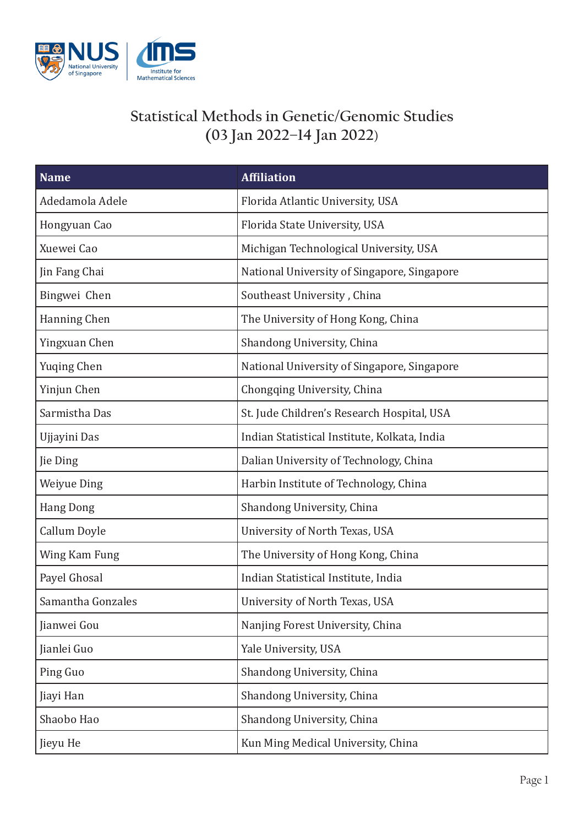

## **Statistical Methods in Genetic/Genomic Studies (03 Jan 2022–14 Jan 2022**)

| <b>Name</b>        | <b>Affiliation</b>                           |
|--------------------|----------------------------------------------|
| Adedamola Adele    | Florida Atlantic University, USA             |
| Hongyuan Cao       | Florida State University, USA                |
| Xuewei Cao         | Michigan Technological University, USA       |
| Jin Fang Chai      | National University of Singapore, Singapore  |
| Bingwei Chen       | Southeast University, China                  |
| Hanning Chen       | The University of Hong Kong, China           |
| Yingxuan Chen      | Shandong University, China                   |
| <b>Yuging Chen</b> | National University of Singapore, Singapore  |
| Yinjun Chen        | Chongqing University, China                  |
| Sarmistha Das      | St. Jude Children's Research Hospital, USA   |
| Ujjayini Das       | Indian Statistical Institute, Kolkata, India |
| Jie Ding           | Dalian University of Technology, China       |
| <b>Weiyue Ding</b> | Harbin Institute of Technology, China        |
| <b>Hang Dong</b>   | Shandong University, China                   |
| Callum Doyle       | University of North Texas, USA               |
| Wing Kam Fung      | The University of Hong Kong, China           |
| Payel Ghosal       | Indian Statistical Institute, India          |
| Samantha Gonzales  | University of North Texas, USA               |
| Jianwei Gou        | Nanjing Forest University, China             |
| Jianlei Guo        | Yale University, USA                         |
| Ping Guo           | Shandong University, China                   |
| Jiayi Han          | Shandong University, China                   |
| Shaobo Hao         | Shandong University, China                   |
| Jieyu He           | Kun Ming Medical University, China           |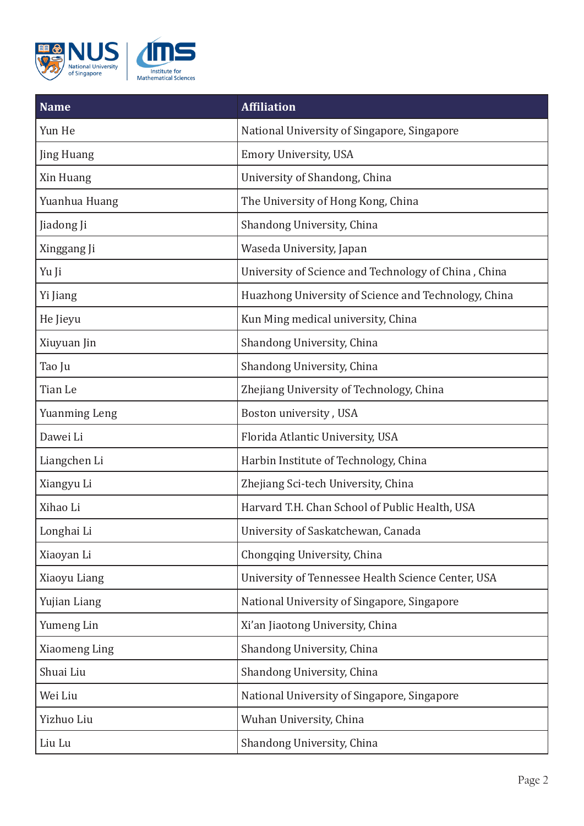

| <b>Name</b>          | <b>Affiliation</b>                                   |
|----------------------|------------------------------------------------------|
| Yun He               | National University of Singapore, Singapore          |
| Jing Huang           | <b>Emory University, USA</b>                         |
| Xin Huang            | University of Shandong, China                        |
| Yuanhua Huang        | The University of Hong Kong, China                   |
| Jiadong Ji           | Shandong University, China                           |
| Xinggang Ji          | Waseda University, Japan                             |
| Yu Ji                | University of Science and Technology of China, China |
| Yi Jiang             | Huazhong University of Science and Technology, China |
| He Jieyu             | Kun Ming medical university, China                   |
| Xiuyuan Jin          | Shandong University, China                           |
| Tao Ju               | Shandong University, China                           |
| Tian Le              | Zhejiang University of Technology, China             |
| <b>Yuanming Leng</b> | Boston university, USA                               |
| Dawei Li             | Florida Atlantic University, USA                     |
| Liangchen Li         | Harbin Institute of Technology, China                |
| Xiangyu Li           | Zhejiang Sci-tech University, China                  |
| Xihao Li             | Harvard T.H. Chan School of Public Health, USA       |
| Longhai Li           | University of Saskatchewan, Canada                   |
| Xiaoyan Li           | Chongqing University, China                          |
| Xiaoyu Liang         | University of Tennessee Health Science Center, USA   |
| Yujian Liang         | National University of Singapore, Singapore          |
| Yumeng Lin           | Xi'an Jiaotong University, China                     |
| Xiaomeng Ling        | Shandong University, China                           |
| Shuai Liu            | Shandong University, China                           |
| Wei Liu              | National University of Singapore, Singapore          |
| Yizhuo Liu           | Wuhan University, China                              |
| Liu Lu               | Shandong University, China                           |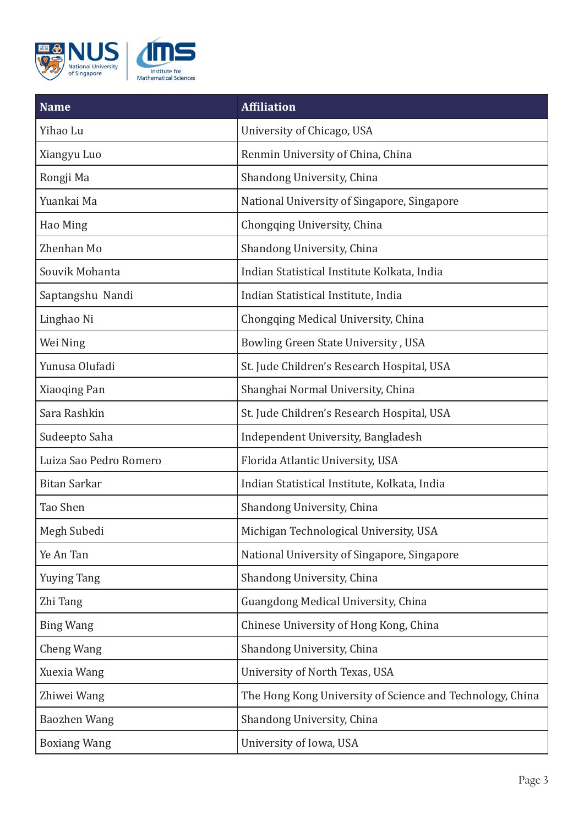

| <b>Name</b>            | <b>Affiliation</b>                                        |
|------------------------|-----------------------------------------------------------|
| Yihao Lu               | University of Chicago, USA                                |
| Xiangyu Luo            | Renmin University of China, China                         |
| Rongji Ma              | Shandong University, China                                |
| Yuankai Ma             | National University of Singapore, Singapore               |
| Hao Ming               | Chongqing University, China                               |
| Zhenhan Mo             | Shandong University, China                                |
| Souvik Mohanta         | Indian Statistical Institute Kolkata, India               |
| Saptangshu Nandi       | Indian Statistical Institute, India                       |
| Linghao Ni             | Chongqing Medical University, China                       |
| Wei Ning               | Bowling Green State University, USA                       |
| Yunusa Olufadi         | St. Jude Children's Research Hospital, USA                |
| Xiaoqing Pan           | Shanghai Normal University, China                         |
| Sara Rashkin           | St. Jude Children's Research Hospital, USA                |
| Sudeepto Saha          | Independent University, Bangladesh                        |
| Luiza Sao Pedro Romero | Florida Atlantic University, USA                          |
| <b>Bitan Sarkar</b>    | Indian Statistical Institute, Kolkata, India              |
| Tao Shen               | Shandong University, China                                |
| Megh Subedi            | Michigan Technological University, USA                    |
| Ye An Tan              | National University of Singapore, Singapore               |
| <b>Yuying Tang</b>     | Shandong University, China                                |
| Zhi Tang               | Guangdong Medical University, China                       |
| <b>Bing Wang</b>       | Chinese University of Hong Kong, China                    |
| Cheng Wang             | Shandong University, China                                |
| Xuexia Wang            | University of North Texas, USA                            |
| Zhiwei Wang            | The Hong Kong University of Science and Technology, China |
| <b>Baozhen Wang</b>    | Shandong University, China                                |
| <b>Boxiang Wang</b>    | University of Iowa, USA                                   |